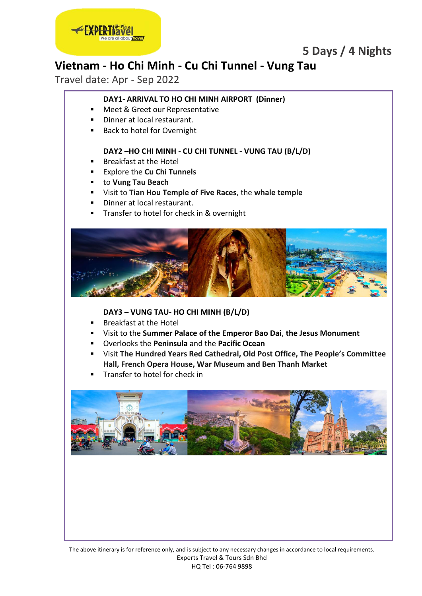

# **Vietnam - Ho Chi Minh - Cu Chi Tunnel - Vung Tau**

Travel date: Apr - Sep 2022

## **DAY1- ARRIVAL TO HO CHI MINH AIRPORT (Dinner)**

- Meet & Greet our Representative
- Dinner at local restaurant.
- Back to hotel for Overnight

### **DAY2 –HO CHI MINH - CU CHI TUNNEL - VUNG TAU (B/L/D)**

- Breakfast at the Hotel
- Explore the **Cu Chi Tunnels**
- to **Vung Tau Beach**
- Visit to **Tian Hou Temple of Five Races**, the **whale temple**
- Dinner at local restaurant.
- Transfer to hotel for check in & overnight



### **DAY3 – VUNG TAU- HO CHI MINH (B/L/D)**

- **Breakfast at the Hotel**
- Visit to the **Summer Palace of the Emperor Bao Dai**, **the Jesus Monument**
- Overlooks the **Peninsula** and the **Pacific Ocean**
- Visit **The Hundred Years Red Cathedral, Old Post Office, The People's Committee Hall, French Opera House, War Museum and Ben Thanh Market**
- Transfer to hotel for check in

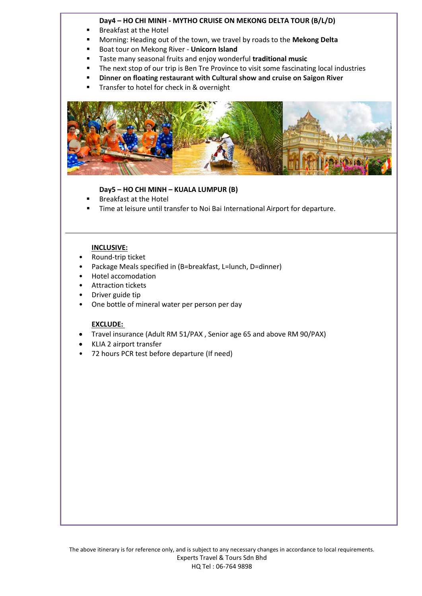### **Day4 – HO CHI MINH - MYTHO CRUISE ON MEKONG DELTA TOUR (B/L/D)**

- Breakfast at the Hotel
- Morning: Heading out of the town, we travel by roads to the **Mekong Delta**
- **Boat tour on Mekong River Unicorn Island**
- Taste many seasonal fruits and enjoy wonderful **traditional music**
- **The next stop of our trip is Ben Tre Province to visit some fascinating local industries**
- **Dinner on floating restaurant with Cultural show and cruise on Saigon River**
- Transfer to hotel for check in & overnight



### **Day5 – HO CHI MINH – KUALA LUMPUR (B)**

- Breakfast at the Hotel
- Time at leisure until transfer to Noi Bai International Airport for departure.

### **INCLUSIVE:**

- Round-trip ticket
- Package Meals specified in (B=breakfast, L=lunch, D=dinner)
- Hotel accomodation
- Attraction tickets
- Driver guide tip
- One bottle of mineral water per person per day

### **EXCLUDE:**

- Travel insurance (Adult RM 51/PAX , Senior age 65 and above RM 90/PAX)
- KLIA 2 airport transfer
- 72 hours PCR test before departure (If need)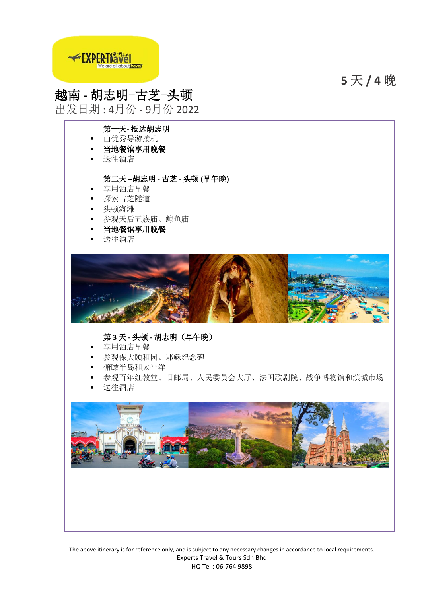**5** 天 **/ 4** 晚



# 越南 **-** 胡志明-古芝-头顿

出发日期 : 4月份 - 9月份 2022

## 第一天**-** 抵达胡志明

- 由优秀导游接机
- 当地餐馆享用晚餐
- 送往酒店

### 第二天 **–**胡志明 **-** 古芝 **-** 头顿 **(**早午晚**)**

- 享用酒店早餐
- 探索古芝隧道
- 头顿海滩
- 参观天后五族庙、鲸鱼庙
- 当地餐馆享用晚餐
- 送往酒店



### 第 **3** 天 **-** 头顿 **-** 胡志明(早午晚)

- 享用酒店早餐
- 参观保大颐和园、耶稣纪念碑
- 俯瞰半岛和太平洋
- 参观百年红教堂、旧邮局、人民委员会大厅、法国歌剧院、战争博物馆和滨城市场
- 送往酒店